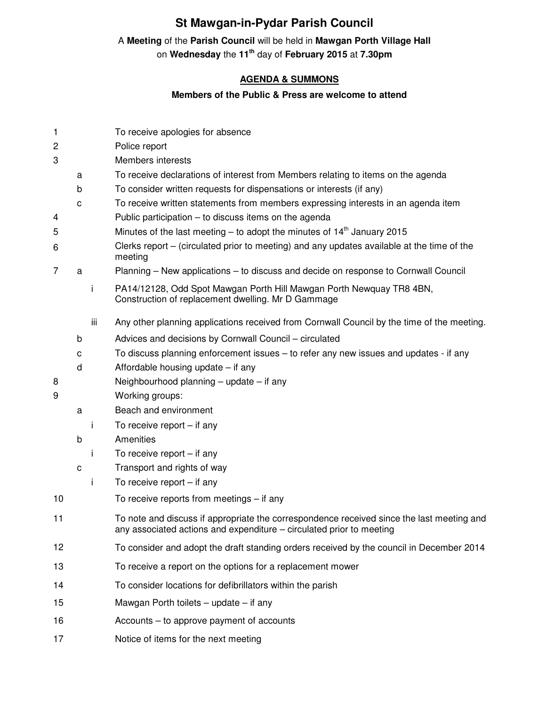# **St Mawgan-in-Pydar Parish Council**

# A **Meeting** of the **Parish Council** will be held in **Mawgan Porth Village Hall**

on **Wednesday** the **11th** day of **February 2015** at **7.30pm** 

## **AGENDA & SUMMONS**

### **Members of the Public & Press are welcome to attend**

| $\mathbf{1}$   |   |     | To receive apologies for absence                                                                                                                                  |
|----------------|---|-----|-------------------------------------------------------------------------------------------------------------------------------------------------------------------|
| $\overline{c}$ |   |     | Police report                                                                                                                                                     |
| 3              |   |     | <b>Members interests</b>                                                                                                                                          |
|                | a |     | To receive declarations of interest from Members relating to items on the agenda                                                                                  |
|                | b |     | To consider written requests for dispensations or interests (if any)                                                                                              |
|                | C |     | To receive written statements from members expressing interests in an agenda item                                                                                 |
| 4              |   |     | Public participation – to discuss items on the agenda                                                                                                             |
| 5              |   |     | Minutes of the last meeting – to adopt the minutes of $14th$ January 2015                                                                                         |
| 6              |   |     | Clerks report – (circulated prior to meeting) and any updates available at the time of the<br>meeting                                                             |
| 7              | a |     | Planning – New applications – to discuss and decide on response to Cornwall Council                                                                               |
|                |   | j.  | PA14/12128, Odd Spot Mawgan Porth Hill Mawgan Porth Newquay TR8 4BN,<br>Construction of replacement dwelling. Mr D Gammage                                        |
|                |   | iii | Any other planning applications received from Cornwall Council by the time of the meeting.                                                                        |
|                | b |     | Advices and decisions by Cornwall Council - circulated                                                                                                            |
|                | с |     | To discuss planning enforcement issues – to refer any new issues and updates - if any                                                                             |
|                | d |     | Affordable housing update $-$ if any                                                                                                                              |
| 8              |   |     | Neighbourhood planning $-$ update $-$ if any                                                                                                                      |
| 9              |   |     | Working groups:                                                                                                                                                   |
|                | a |     | Beach and environment                                                                                                                                             |
|                |   | Ť.  | To receive report $-$ if any                                                                                                                                      |
|                | b |     | Amenities                                                                                                                                                         |
|                |   | i.  | To receive report $-$ if any                                                                                                                                      |
|                | C |     | Transport and rights of way                                                                                                                                       |
|                |   | Ť   | To receive report $-$ if any                                                                                                                                      |
| 10             |   |     | To receive reports from meetings $-$ if any                                                                                                                       |
| 11             |   |     | To note and discuss if appropriate the correspondence received since the last meeting and<br>any associated actions and expenditure - circulated prior to meeting |
| 12             |   |     | To consider and adopt the draft standing orders received by the council in December 2014                                                                          |
| 13             |   |     | To receive a report on the options for a replacement mower                                                                                                        |
| 14             |   |     | To consider locations for defibrillators within the parish                                                                                                        |
| 15             |   |     | Mawgan Porth toilets $-$ update $-$ if any                                                                                                                        |
| 16             |   |     | Accounts – to approve payment of accounts                                                                                                                         |
| 17             |   |     | Notice of items for the next meeting                                                                                                                              |